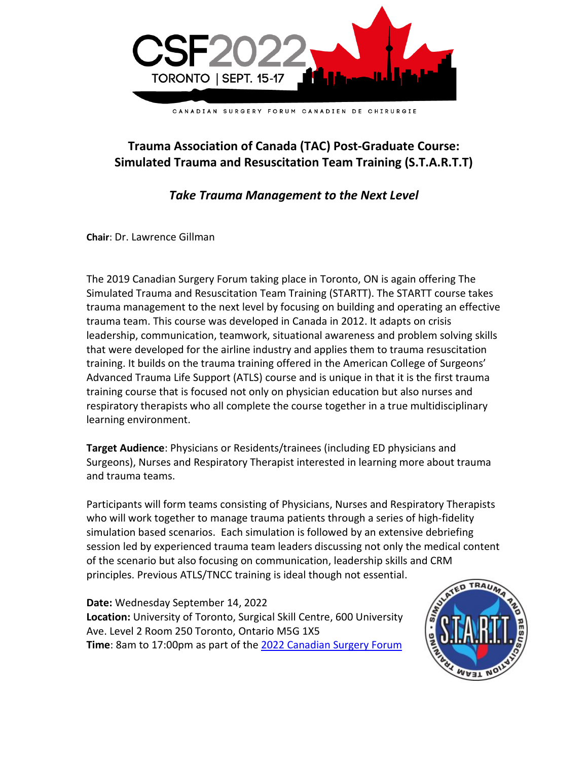

## **Trauma Association of Canada (TAC) Post-Graduate Course: Simulated Trauma and Resuscitation Team Training (S.T.A.R.T.T)**

## *Take Trauma Management to the Next Level*

**Chair**: Dr. Lawrence Gillman

The 2019 Canadian Surgery Forum taking place in Toronto, ON is again offering The Simulated Trauma and Resuscitation Team Training (STARTT). The STARTT course takes trauma management to the next level by focusing on building and operating an effective trauma team. This course was developed in Canada in 2012. It adapts on crisis leadership, communication, teamwork, situational awareness and problem solving skills that were developed for the airline industry and applies them to trauma resuscitation training. It builds on the trauma training offered in the American College of Surgeons' Advanced Trauma Life Support (ATLS) course and is unique in that it is the first trauma training course that is focused not only on physician education but also nurses and respiratory therapists who all complete the course together in a true multidisciplinary learning environment.

**Target Audience**: Physicians or Residents/trainees (including ED physicians and Surgeons), Nurses and Respiratory Therapist interested in learning more about trauma and trauma teams.

Participants will form teams consisting of Physicians, Nurses and Respiratory Therapists who will work together to manage trauma patients through a series of high-fidelity simulation based scenarios. Each simulation is followed by an extensive debriefing session led by experienced trauma team leaders discussing not only the medical content of the scenario but also focusing on communication, leadership skills and CRM principles. Previous ATLS/TNCC training is ideal though not essential.

**Date:** Wednesday September 14, 2022 **Location:** University of Toronto, Surgical Skill Centre, 600 University Ave. Level 2 Room 250 Toronto, Ontario M5G 1X5 **Time**: 8am to 17:00pm as part of the [2022 Canadian Surgery Forum](http://www.canadiansurgeryforum.com/)